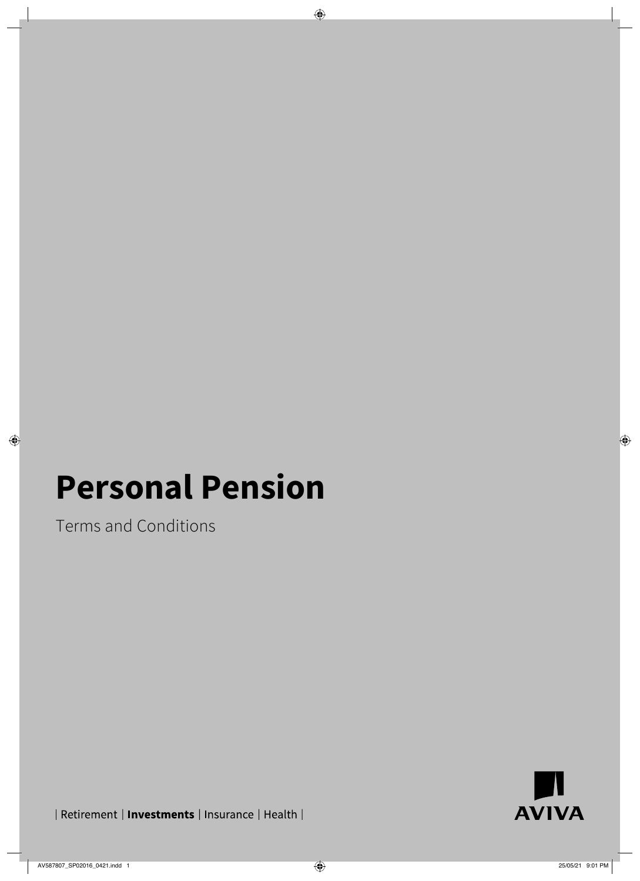# **Personal Pension**

Terms and Conditions



| Retirement | Investments | Insurance | Health |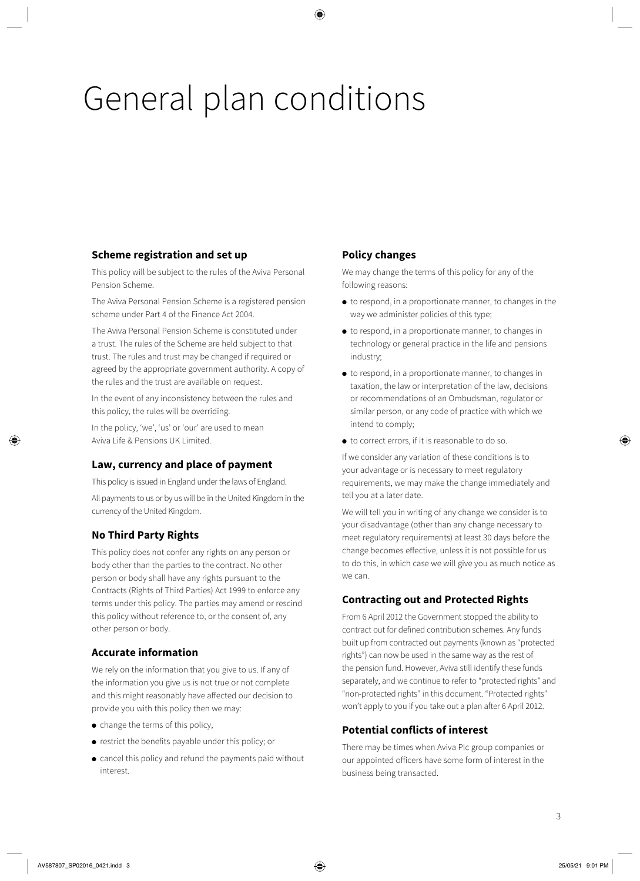# General plan conditions

# **Scheme registration and set up**

This policy will be subject to the rules of the Aviva Personal Pension Scheme.

The Aviva Personal Pension Scheme is a registered pension scheme under Part 4 of the Finance Act 2004.

The Aviva Personal Pension Scheme is constituted under a trust. The rules of the Scheme are held subject to that trust. The rules and trust may be changed if required or agreed by the appropriate government authority. A copy of the rules and the trust are available on request.

In the event of any inconsistency between the rules and this policy, the rules will be overriding.

In the policy, 'we', 'us' or 'our' are used to mean Aviva Life & Pensions UK Limited.

# **Law, currency and place of payment**

This policy is issued in England under the laws of England.

All payments to us or by us will be in the United Kingdom in the currency of the United Kingdom.

# **No Third Party Rights**

This policy does not confer any rights on any person or body other than the parties to the contract. No other person or body shall have any rights pursuant to the Contracts (Rights of Third Parties) Act 1999 to enforce any terms under this policy. The parties may amend or rescind this policy without reference to, or the consent of, any other person or body.

# **Accurate information**

We rely on the information that you give to us. If any of the information you give us is not true or not complete and this might reasonably have affected our decision to provide you with this policy then we may:

- change the terms of this policy,
- restrict the benefits payable under this policy; or
- cancel this policy and refund the payments paid without interest.

# **Policy changes**

We may change the terms of this policy for any of the following reasons:

- to respond, in a proportionate manner, to changes in the way we administer policies of this type;
- to respond, in a proportionate manner, to changes in technology or general practice in the life and pensions industry;
- to respond, in a proportionate manner, to changes in taxation, the law or interpretation of the law, decisions or recommendations of an Ombudsman, regulator or similar person, or any code of practice with which we intend to comply;
- to correct errors, if it is reasonable to do so.

If we consider any variation of these conditions is to your advantage or is necessary to meet regulatory requirements, we may make the change immediately and tell you at a later date.

We will tell you in writing of any change we consider is to your disadvantage (other than any change necessary to meet regulatory requirements) at least 30 days before the change becomes effective, unless it is not possible for us to do this, in which case we will give you as much notice as we can.

# **Contracting out and Protected Rights**

From 6 April 2012 the Government stopped the ability to contract out for defined contribution schemes. Any funds built up from contracted out payments (known as "protected rights") can now be used in the same way as the rest of the pension fund. However, Aviva still identify these funds separately, and we continue to refer to "protected rights" and "non-protected rights" in this document. "Protected rights" won't apply to you if you take out a plan after 6 April 2012.

# **Potential conflicts of interest**

There may be times when Aviva Plc group companies or our appointed officers have some form of interest in the business being transacted.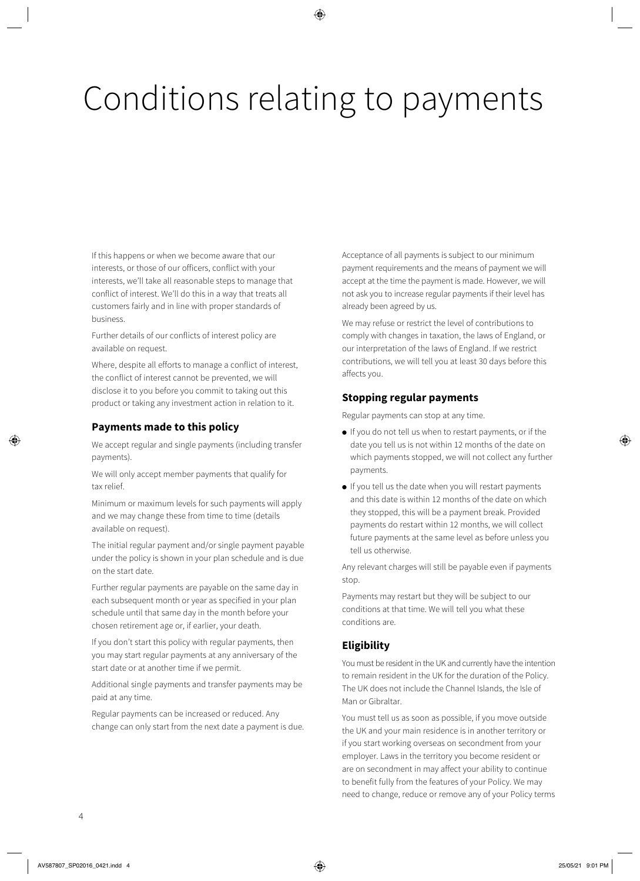# Conditions relating to payments

If this happens or when we become aware that our interests, or those of our officers, conflict with your interests, we'll take all reasonable steps to manage that conflict of interest. We'll do this in a way that treats all customers fairly and in line with proper standards of business.

Further details of our conflicts of interest policy are available on request.

Where, despite all efforts to manage a conflict of interest, the conflict of interest cannot be prevented, we will disclose it to you before you commit to taking out this product or taking any investment action in relation to it.

# **Payments made to this policy**

We accept regular and single payments (including transfer payments).

We will only accept member payments that qualify for tax relief.

Minimum or maximum levels for such payments will apply and we may change these from time to time (details available on request).

The initial regular payment and/or single payment payable under the policy is shown in your plan schedule and is due on the start date.

Further regular payments are payable on the same day in each subsequent month or year as specified in your plan schedule until that same day in the month before your chosen retirement age or, if earlier, your death.

If you don't start this policy with regular payments, then you may start regular payments at any anniversary of the start date or at another time if we permit.

Additional single payments and transfer payments may be paid at any time.

Regular payments can be increased or reduced. Any change can only start from the next date a payment is due. Acceptance of all payments is subject to our minimum payment requirements and the means of payment we will accept at the time the payment is made. However, we will not ask you to increase regular payments if their level has already been agreed by us.

We may refuse or restrict the level of contributions to comply with changes in taxation, the laws of England, or our interpretation of the laws of England. If we restrict contributions, we will tell you at least 30 days before this affects you.

# **Stopping regular payments**

Regular payments can stop at any time.

- If you do not tell us when to restart payments, or if the date you tell us is not within 12 months of the date on which payments stopped, we will not collect any further payments.
- If you tell us the date when you will restart payments and this date is within 12 months of the date on which they stopped, this will be a payment break. Provided payments do restart within 12 months, we will collect future payments at the same level as before unless you tell us otherwise.

Any relevant charges will still be payable even if payments stop.

Payments may restart but they will be subject to our conditions at that time. We will tell you what these conditions are.

# **Eligibility**

You must be resident in the UK and currently have the intention to remain resident in the UK for the duration of the Policy. The UK does not include the Channel Islands, the Isle of Man or Gibraltar.

You must tell us as soon as possible, if you move outside the UK and your main residence is in another territory or if you start working overseas on secondment from your employer. Laws in the territory you become resident or are on secondment in may affect your ability to continue to benefit fully from the features of your Policy. We may need to change, reduce or remove any of your Policy terms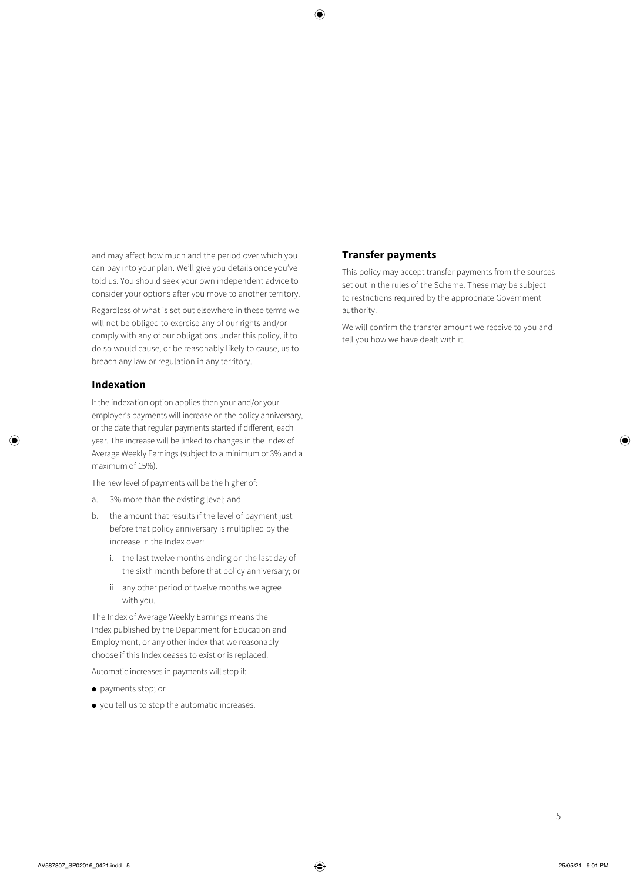and may affect how much and the period over which you can pay into your plan. We'll give you details once you've told us. You should seek your own independent advice to consider your options after you move to another territory.

Regardless of what is set out elsewhere in these terms we will not be obliged to exercise any of our rights and/or comply with any of our obligations under this policy, if to do so would cause, or be reasonably likely to cause, us to breach any law or regulation in any territory.

### **Indexation**

If the indexation option applies then your and/or your employer's payments will increase on the policy anniversary, or the date that regular payments started if different, each year. The increase will be linked to changes in the Index of Average Weekly Earnings (subject to a minimum of 3% and a maximum of 15%).

The new level of payments will be the higher of:

- a. 3% more than the existing level; and
- b. the amount that results if the level of payment just before that policy anniversary is multiplied by the increase in the Index over:
	- i. the last twelve months ending on the last day of the sixth month before that policy anniversary; or
	- ii. any other period of twelve months we agree with you.

The Index of Average Weekly Earnings means the Index published by the Department for Education and Employment, or any other index that we reasonably choose if this Index ceases to exist or is replaced.

Automatic increases in payments will stop if:

- payments stop; or
- you tell us to stop the automatic increases.

### **Transfer payments**

This policy may accept transfer payments from the sources set out in the rules of the Scheme. These may be subject to restrictions required by the appropriate Government authority.

We will confirm the transfer amount we receive to you and tell you how we have dealt with it.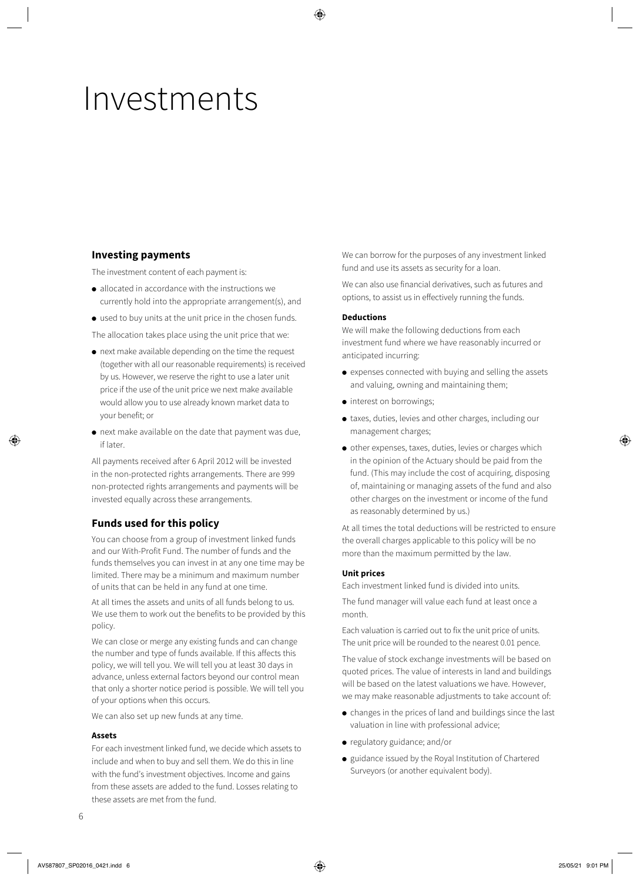# Investments

# **Investing payments**

The investment content of each payment is:

- allocated in accordance with the instructions we currently hold into the appropriate arrangement(s), and
- used to buy units at the unit price in the chosen funds.
- The allocation takes place using the unit price that we:
- next make available depending on the time the request (together with all our reasonable requirements) is received by us. However, we reserve the right to use a later unit price if the use of the unit price we next make available would allow you to use already known market data to your benefit; or
- next make available on the date that payment was due, if later.

All payments received after 6 April 2012 will be invested in the non-protected rights arrangements. There are 999 non-protected rights arrangements and payments will be invested equally across these arrangements.

### **Funds used for this policy**

You can choose from a group of investment linked funds and our With-Profit Fund. The number of funds and the funds themselves you can invest in at any one time may be limited. There may be a minimum and maximum number of units that can be held in any fund at one time.

At all times the assets and units of all funds belong to us. We use them to work out the benefits to be provided by this policy.

We can close or merge any existing funds and can change the number and type of funds available. If this affects this policy, we will tell you. We will tell you at least 30 days in advance, unless external factors beyond our control mean that only a shorter notice period is possible. We will tell you of your options when this occurs.

We can also set up new funds at any time.

#### **Assets**

For each investment linked fund, we decide which assets to include and when to buy and sell them. We do this in line with the fund's investment objectives. Income and gains from these assets are added to the fund. Losses relating to these assets are met from the fund.

We can borrow for the purposes of any investment linked fund and use its assets as security for a loan.

We can also use financial derivatives, such as futures and options, to assist us in effectively running the funds.

#### **Deductions**

We will make the following deductions from each investment fund where we have reasonably incurred or anticipated incurring:

- expenses connected with buying and selling the assets and valuing, owning and maintaining them;
- interest on borrowings;
- taxes, duties, levies and other charges, including our management charges;
- other expenses, taxes, duties, levies or charges which in the opinion of the Actuary should be paid from the fund. (This may include the cost of acquiring, disposing of, maintaining or managing assets of the fund and also other charges on the investment or income of the fund as reasonably determined by us.)

At all times the total deductions will be restricted to ensure the overall charges applicable to this policy will be no more than the maximum permitted by the law.

#### **Unit prices**

Each investment linked fund is divided into units.

The fund manager will value each fund at least once a month.

Each valuation is carried out to fix the unit price of units. The unit price will be rounded to the nearest 0.01 pence.

The value of stock exchange investments will be based on quoted prices. The value of interests in land and buildings will be based on the latest valuations we have. However, we may make reasonable adjustments to take account of:

- changes in the prices of land and buildings since the last valuation in line with professional advice;
- regulatory guidance; and/or
- guidance issued by the Royal Institution of Chartered Surveyors (or another equivalent body).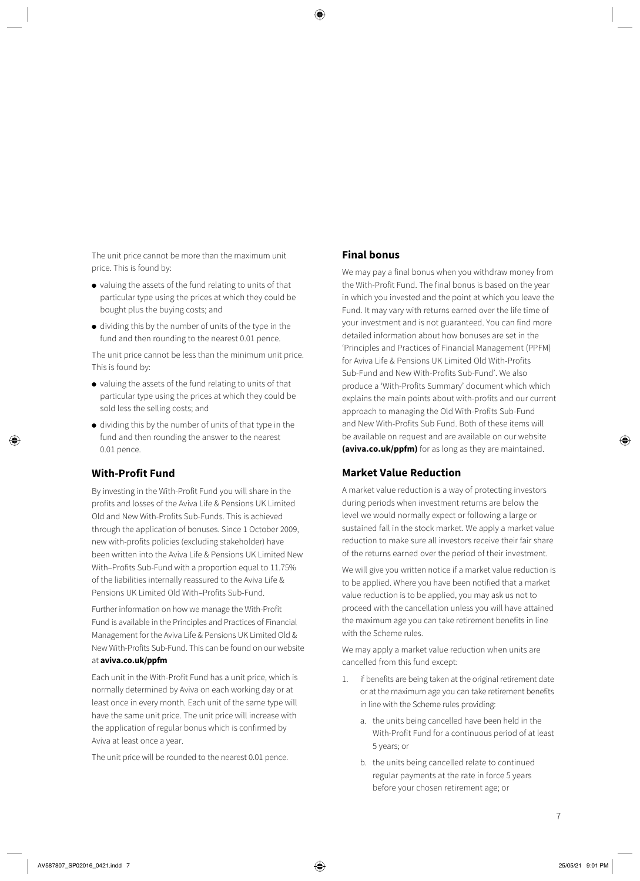The unit price cannot be more than the maximum unit price. This is found by:

- valuing the assets of the fund relating to units of that particular type using the prices at which they could be bought plus the buying costs; and
- dividing this by the number of units of the type in the fund and then rounding to the nearest 0.01 pence.

The unit price cannot be less than the minimum unit price. This is found by:

- valuing the assets of the fund relating to units of that particular type using the prices at which they could be sold less the selling costs; and
- dividing this by the number of units of that type in the fund and then rounding the answer to the nearest 0.01 pence.

### **With-Profit Fund**

By investing in the With-Profit Fund you will share in the profits and losses of the Aviva Life & Pensions UK Limited Old and New With-Profits Sub-Funds. This is achieved through the application of bonuses. Since 1 October 2009, new with-profits policies (excluding stakeholder) have been written into the Aviva Life & Pensions UK Limited New With–Profits Sub-Fund with a proportion equal to 11.75% of the liabilities internally reassured to the Aviva Life & Pensions UK Limited Old With–Profits Sub-Fund.

Further information on how we manage the With-Profit Fund is available in the Principles and Practices of Financial Management for the Aviva Life & Pensions UK Limited Old & New With-Profits Sub-Fund. This can be found on our website at **[aviva.co.uk/ppfm](http://aviva.co.uk/ppfm)**

Each unit in the With-Profit Fund has a unit price, which is normally determined by Aviva on each working day or at least once in every month. Each unit of the same type will have the same unit price. The unit price will increase with the application of regular bonus which is confirmed by Aviva at least once a year.

The unit price will be rounded to the nearest 0.01 pence.

### **Final bonus**

We may pay a final bonus when you withdraw money from the With-Profit Fund. The final bonus is based on the year in which you invested and the point at which you leave the Fund. It may vary with returns earned over the life time of your investment and is not guaranteed. You can find more detailed information about how bonuses are set in the 'Principles and Practices of Financial Management (PPFM) for Aviva Life & Pensions UK Limited Old With-Profits Sub-Fund and New With-Profits Sub-Fund'. We also produce a 'With-Profits Summary' document which which explains the main points about with-profits and our current approach to managing the Old With-Profits Sub-Fund and New With-Profits Sub Fund. Both of these items will be available on request and are available on our website **[\(aviva.co.uk/ppfm](http://www.aviva.co.uk/ppfm))** for as long as they are maintained.

### **Market Value Reduction**

A market value reduction is a way of protecting investors during periods when investment returns are below the level we would normally expect or following a large or sustained fall in the stock market. We apply a market value reduction to make sure all investors receive their fair share of the returns earned over the period of their investment.

We will give you written notice if a market value reduction is to be applied. Where you have been notified that a market value reduction is to be applied, you may ask us not to proceed with the cancellation unless you will have attained the maximum age you can take retirement benefits in line with the Scheme rules.

We may apply a market value reduction when units are cancelled from this fund except:

- 1. if benefits are being taken at the original retirement date or at the maximum age you can take retirement benefits in line with the Scheme rules providing:
	- a. the units being cancelled have been held in the With-Profit Fund for a continuous period of at least 5 years; or
	- b. the units being cancelled relate to continued regular payments at the rate in force 5 years before your chosen retirement age; or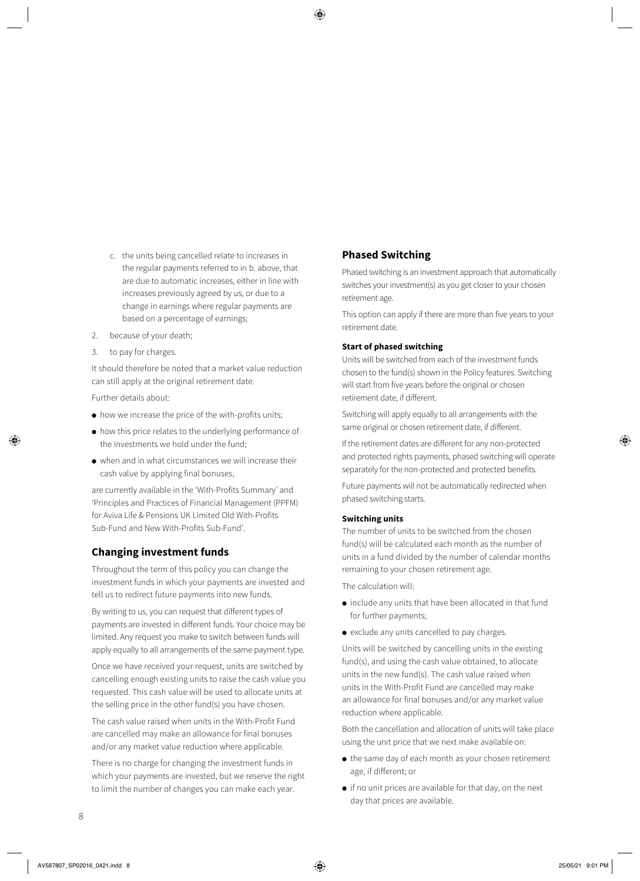- c. the units being cancelled relate to increases in the regular payments referred to in b. above, that are due to automatic increases, either in line with increases previously agreed by us, or due to a change in earnings where regular payments are based on a percentage of earnings;
- 2. because of your death;
- 3. to pay for charges.

It should therefore be noted that a market value reduction can still apply at the original retirement date.

Further details about:

- how we increase the price of the with-profits units;
- how this price relates to the underlying performance of the investments we hold under the fund;
- when and in what circumstances we will increase their cash value by applying final bonuses,

are currently available in the 'With-Profits Summary' and 'Principles and Practices of Financial Management (PPFM) for Aviva Life & Pensions UK Limited Old With-Profits Sub-Fund and New With-Profits Sub-Fund'.

### **Changing investment funds**

Throughout the term of this policy you can change the investment funds in which your payments are invested and tell us to redirect future payments into new funds.

By writing to us, you can request that different types of payments are invested in different funds. Your choice may be limited. Any request you make to switch between funds will apply equally to all arrangements of the same payment type.

Once we have received your request, units are switched by cancelling enough existing units to raise the cash value you requested. This cash value will be used to allocate units at the selling price in the other fund(s) you have chosen.

The cash value raised when units in the With-Profit Fund are cancelled may make an allowance for final bonuses and/or any market value reduction where applicable.

There is no charge for changing the investment funds in which your payments are invested, but we reserve the right to limit the number of changes you can make each year.

## **Phased Switching**

Phased switching is an investment approach that automatically switches your investment(s) as you get closer to your chosen retirement age.

This option can apply if there are more than five years to your retirement date.

#### **Start of phased switching**

Units will be switched from each of the investment funds chosen to the fund(s) shown in the Policy features. Switching will start from five years before the original or chosen retirement date, if different.

Switching will apply equally to all arrangements with the same original or chosen retirement date, if different.

If the retirement dates are different for any non-protected and protected rights payments, phased switching will operate separately for the non-protected and protected benefits.

Future payments will not be automatically redirected when phased switching starts.

#### **Switching units**

The number of units to be switched from the chosen fund(s) will be calculated each month as the number of units in a fund divided by the number of calendar months remaining to your chosen retirement age.

The calculation will:

- include any units that have been allocated in that fund for further payments;
- exclude any units cancelled to pay charges.

Units will be switched by cancelling units in the existing fund(s), and using the cash value obtained, to allocate units in the new fund(s). The cash value raised when units in the With-Profit Fund are cancelled may make an allowance for final bonuses and/or any market value reduction where applicable.

Both the cancellation and allocation of units will take place using the unit price that we next make available on:

- the same day of each month as your chosen retirement age, if different; or
- if no unit prices are available for that day, on the next day that prices are available.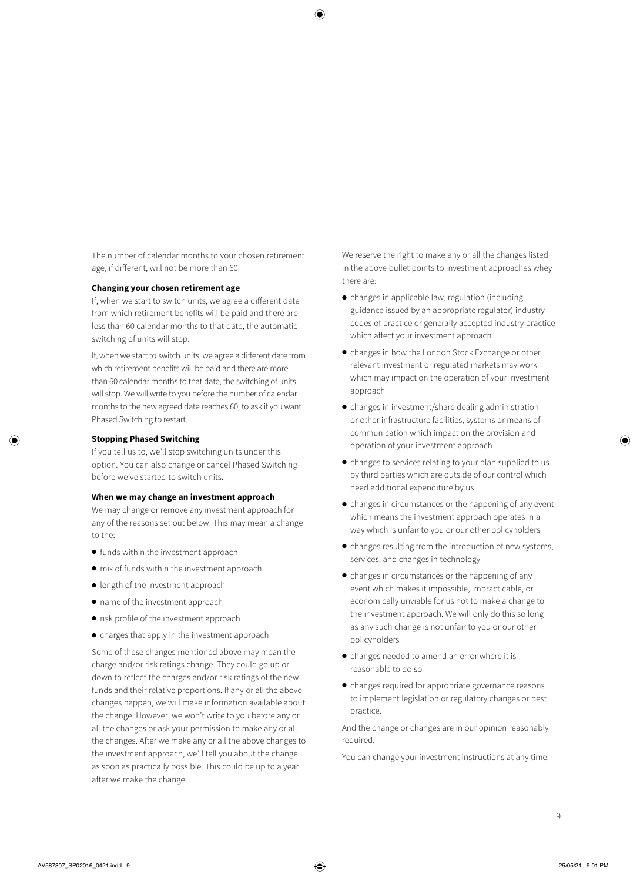The number of calendar months to your chosen retirement age, if different, will not be more than 60.

#### **Changing your chosen retirement age**

If, when we start to switch units, we agree a different date from which retirement benefits will be paid and there are less than 60 calendar months to that date, the automatic switching of units will stop.

If, when we start to switch units, we agree a different date from which retirement benefits will be paid and there are more than 60 calendar months to that date, the switching of units will stop. We will write to you before the number of calendar months to the new agreed date reaches 60, to ask if you want Phased Switching to restart.

#### **Stopping Phased Switching**

If you tell us to, we'll stop switching units under this option. You can also change or cancel Phased Switching before we've started to switch units.

#### **When we may change an investment approach**

We may change or remove any investment approach for any of the reasons set out below. This may mean a change to the:

- funds within the investment approach
- mix of funds within the investment approach
- length of the investment approach
- name of the investment approach
- risk profile of the investment approach
- charges that apply in the investment approach

Some of these changes mentioned above may mean the charge and/or risk ratings change. They could go up or down to reflect the charges and/or risk ratings of the new funds and their relative proportions. If any or all the above changes happen, we will make information available about the change. However, we won't write to you before any or all the changes or ask your permission to make any or all the changes. After we make any or all the above changes to the investment approach, we'll tell you about the change as soon as practically possible. This could be up to a year after we make the change.

We reserve the right to make any or all the changes listed in the above bullet points to investment approaches whey there are:

- changes in applicable law, regulation (including guidance issued by an appropriate regulator) industry codes of practice or generally accepted industry practice which affect your investment approach
- changes in how the London Stock Exchange or other relevant investment or regulated markets may work which may impact on the operation of your investment approach
- changes in investment/share dealing administration or other infrastructure facilities, systems or means of communication which impact on the provision and operation of your investment approach
- changes to services relating to your plan supplied to us by third parties which are outside of our control which need additional expenditure by us
- changes in circumstances or the happening of any event which means the investment approach operates in a way which is unfair to you or our other policyholders
- changes resulting from the introduction of new systems, services, and changes in technology
- changes in circumstances or the happening of any event which makes it impossible, impracticable, or economically unviable for us not to make a change to the investment approach. We will only do this so long as any such change is not unfair to you or our other policyholders
- changes needed to amend an error where it is reasonable to do so
- changes required for appropriate governance reasons to implement legislation or regulatory changes or best practice.

And the change or changes are in our opinion reasonably required.

You can change your investment instructions at any time.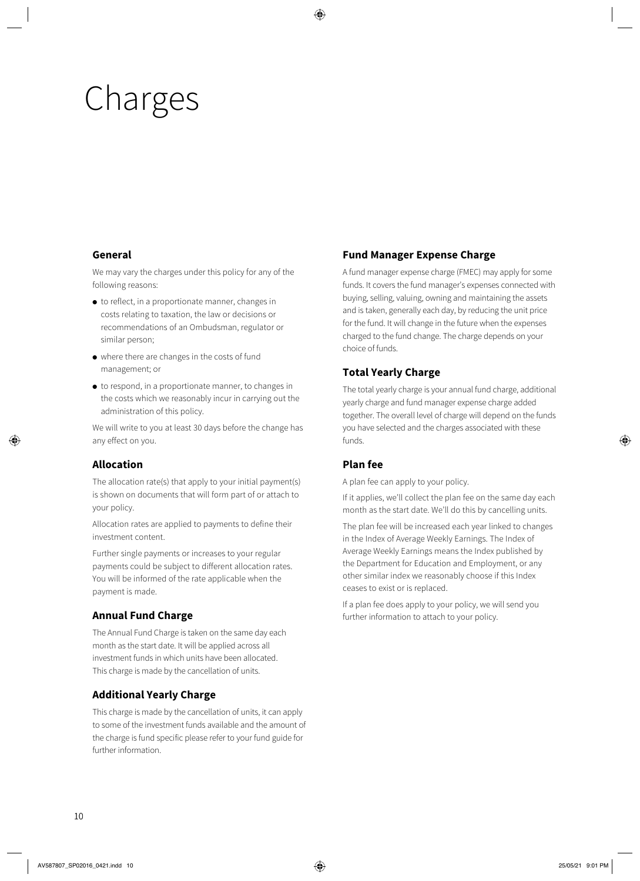# Charges

# **General**

We may vary the charges under this policy for any of the following reasons:

- to reflect, in a proportionate manner, changes in costs relating to taxation, the law or decisions or recommendations of an Ombudsman, regulator or similar person;
- where there are changes in the costs of fund management; or
- to respond, in a proportionate manner, to changes in the costs which we reasonably incur in carrying out the administration of this policy.

We will write to you at least 30 days before the change has any effect on you.

# **Allocation**

The allocation rate(s) that apply to your initial payment(s) is shown on documents that will form part of or attach to your policy.

Allocation rates are applied to payments to define their investment content.

Further single payments or increases to your regular payments could be subject to different allocation rates. You will be informed of the rate applicable when the payment is made.

# **Annual Fund Charge**

The Annual Fund Charge is taken on the same day each month as the start date. It will be applied across all investment funds in which units have been allocated. This charge is made by the cancellation of units.

# **Additional Yearly Charge**

This charge is made by the cancellation of units, it can apply to some of the investment funds available and the amount of the charge is fund specific please refer to your fund guide for further information.

# **Fund Manager Expense Charge**

A fund manager expense charge (FMEC) may apply for some funds. It covers the fund manager's expenses connected with buying, selling, valuing, owning and maintaining the assets and is taken, generally each day, by reducing the unit price for the fund. It will change in the future when the expenses charged to the fund change. The charge depends on your choice of funds.

# **Total Yearly Charge**

The total yearly charge is your annual fund charge, additional yearly charge and fund manager expense charge added together. The overall level of charge will depend on the funds you have selected and the charges associated with these funds.

# **Plan fee**

A plan fee can apply to your policy.

If it applies, we'll collect the plan fee on the same day each month as the start date. We'll do this by cancelling units.

The plan fee will be increased each year linked to changes in the Index of Average Weekly Earnings. The Index of Average Weekly Earnings means the Index published by the Department for Education and Employment, or any other similar index we reasonably choose if this Index ceases to exist or is replaced.

If a plan fee does apply to your policy, we will send you further information to attach to your policy.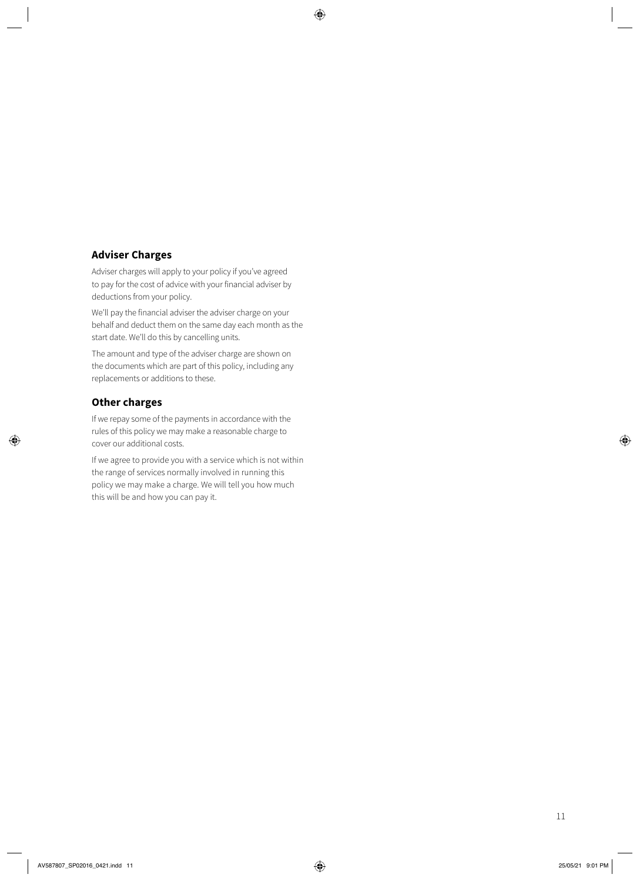# **Adviser Charges**

Adviser charges will apply to your policy if you've agreed to pay for the cost of advice with your financial adviser by deductions from your policy.

We'll pay the financial adviser the adviser charge on your behalf and deduct them on the same day each month as the start date. We'll do this by cancelling units.

The amount and type of the adviser charge are shown on the documents which are part of this policy, including any replacements or additions to these.

## **Other charges**

If we repay some of the payments in accordance with the rules of this policy we may make a reasonable charge to cover our additional costs.

If we agree to provide you with a service which is not within the range of services normally involved in running this policy we may make a charge. We will tell you how much this will be and how you can pay it.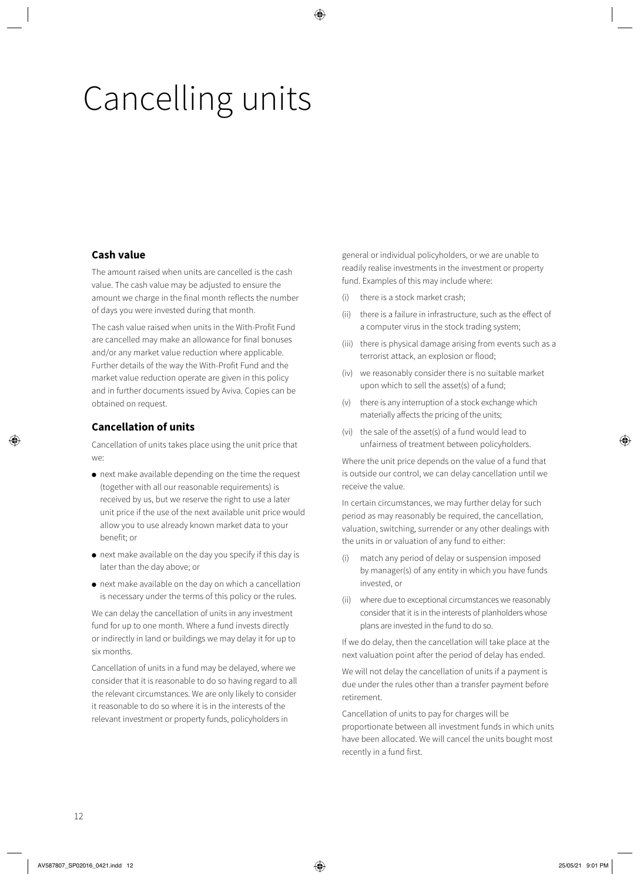# Cancelling units

## **Cash value**

The amount raised when units are cancelled is the cash value. The cash value may be adjusted to ensure the amount we charge in the final month reflects the number of days you were invested during that month.

The cash value raised when units in the With-Profit Fund are cancelled may make an allowance for final bonuses and/or any market value reduction where applicable. Further details of the way the With-Profit Fund and the market value reduction operate are given in this policy and in further documents issued by Aviva. Copies can be obtained on request.

# **Cancellation of units**

Cancellation of units takes place using the unit price that we:

- next make available depending on the time the request (together with all our reasonable requirements) is received by us, but we reserve the right to use a later unit price if the use of the next available unit price would allow you to use already known market data to your benefit; or
- next make available on the day you specify if this day is later than the day above; or
- next make available on the day on which a cancellation is necessary under the terms of this policy or the rules.

We can delay the cancellation of units in any investment fund for up to one month. Where a fund invests directly or indirectly in land or buildings we may delay it for up to six months.

Cancellation of units in a fund may be delayed, where we consider that it is reasonable to do so having regard to all the relevant circumstances. We are only likely to consider it reasonable to do so where it is in the interests of the relevant investment or property funds, policyholders in

general or individual policyholders, or we are unable to readily realise investments in the investment or property fund. Examples of this may include where:

- (i) there is a stock market crash;
- (ii) there is a failure in infrastructure, such as the effect of a computer virus in the stock trading system;
- (iii) there is physical damage arising from events such as a terrorist attack, an explosion or flood;
- (iv) we reasonably consider there is no suitable market upon which to sell the asset(s) of a fund;
- (v) there is any interruption of a stock exchange which materially affects the pricing of the units;
- (vi) the sale of the asset(s) of a fund would lead to unfairness of treatment between policyholders.

Where the unit price depends on the value of a fund that is outside our control, we can delay cancellation until we receive the value.

In certain circumstances, we may further delay for such period as may reasonably be required, the cancellation, valuation, switching, surrender or any other dealings with the units in or valuation of any fund to either:

- (i) match any period of delay or suspension imposed by manager(s) of any entity in which you have funds invested, or
- (ii) where due to exceptional circumstances we reasonably consider that it is in the interests of planholders whose plans are invested in the fund to do so.

If we do delay, then the cancellation will take place at the next valuation point after the period of delay has ended.

We will not delay the cancellation of units if a payment is due under the rules other than a transfer payment before retirement.

Cancellation of units to pay for charges will be proportionate between all investment funds in which units have been allocated. We will cancel the units bought most recently in a fund first.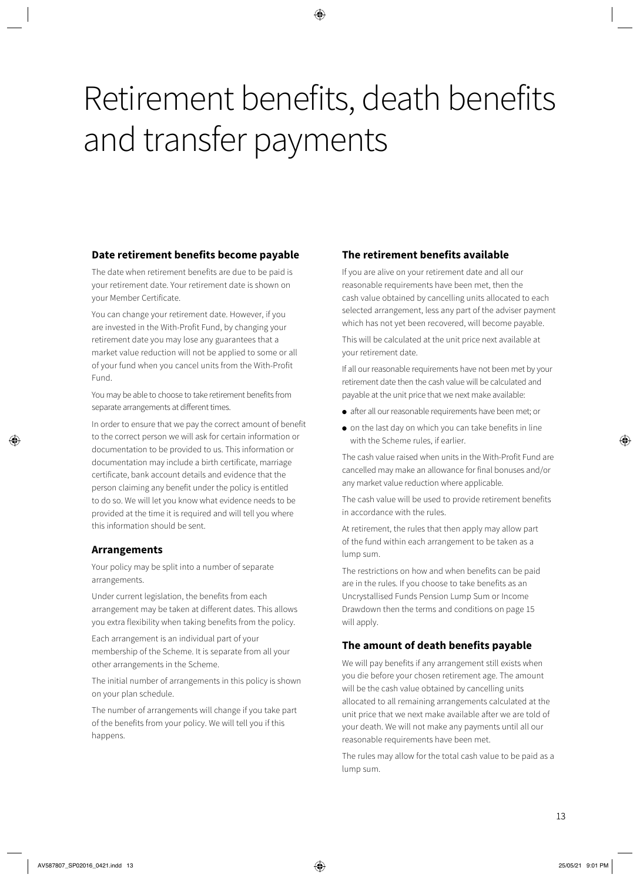# Retirement benefits, death benefits and transfer payments

# **Date retirement benefits become payable**

The date when retirement benefits are due to be paid is your retirement date. Your retirement date is shown on your Member Certificate.

You can change your retirement date. However, if you are invested in the With-Profit Fund, by changing your retirement date you may lose any guarantees that a market value reduction will not be applied to some or all of your fund when you cancel units from the With-Profit Fund.

You may be able to choose to take retirement benefits from separate arrangements at different times.

In order to ensure that we pay the correct amount of benefit to the correct person we will ask for certain information or documentation to be provided to us. This information or documentation may include a birth certificate, marriage certificate, bank account details and evidence that the person claiming any benefit under the policy is entitled to do so. We will let you know what evidence needs to be provided at the time it is required and will tell you where this information should be sent.

### **Arrangements**

Your policy may be split into a number of separate arrangements.

Under current legislation, the benefits from each arrangement may be taken at different dates. This allows you extra flexibility when taking benefits from the policy.

Each arrangement is an individual part of your membership of the Scheme. It is separate from all your other arrangements in the Scheme.

The initial number of arrangements in this policy is shown on your plan schedule.

The number of arrangements will change if you take part of the benefits from your policy. We will tell you if this happens.

# **The retirement benefits available**

If you are alive on your retirement date and all our reasonable requirements have been met, then the cash value obtained by cancelling units allocated to each selected arrangement, less any part of the adviser payment which has not yet been recovered, will become payable.

This will be calculated at the unit price next available at your retirement date.

If all our reasonable requirements have not been met by your retirement date then the cash value will be calculated and payable at the unit price that we next make available:

- after all our reasonable requirements have been met; or
- on the last day on which you can take benefits in line with the Scheme rules, if earlier.

The cash value raised when units in the With-Profit Fund are cancelled may make an allowance for final bonuses and/or any market value reduction where applicable.

The cash value will be used to provide retirement benefits in accordance with the rules.

At retirement, the rules that then apply may allow part of the fund within each arrangement to be taken as a lump sum.

The restrictions on how and when benefits can be paid are in the rules. If you choose to take benefits as an Uncrystallised Funds Pension Lump Sum or Income Drawdown then the terms and conditions on page 15 will apply.

# **The amount of death benefits payable**

We will pay benefits if any arrangement still exists when you die before your chosen retirement age. The amount will be the cash value obtained by cancelling units allocated to all remaining arrangements calculated at the unit price that we next make available after we are told of your death. We will not make any payments until all our reasonable requirements have been met.

The rules may allow for the total cash value to be paid as a lump sum.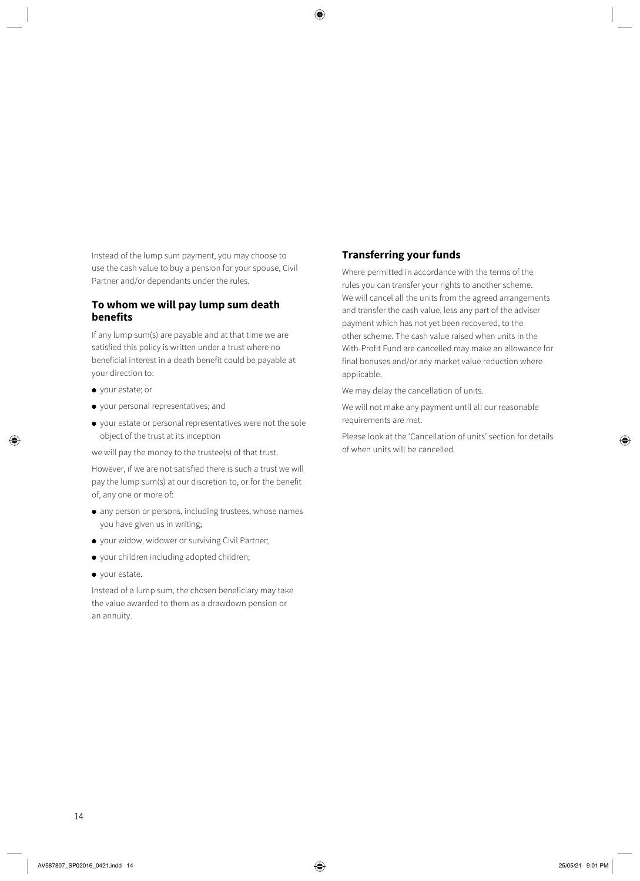Instead of the lump sum payment, you may choose to use the cash value to buy a pension for your spouse, Civil Partner and/or dependants under the rules.

### **To whom we will pay lump sum death benefits**

If any lump sum(s) are payable and at that time we are satisfied this policy is written under a trust where no beneficial interest in a death benefit could be payable at your direction to:

- your estate; or
- your personal representatives; and
- your estate or personal representatives were not the sole object of the trust at its inception

we will pay the money to the trustee(s) of that trust.

However, if we are not satisfied there is such a trust we will pay the lump sum(s) at our discretion to, or for the benefit of, any one or more of:

- any person or persons, including trustees, whose names you have given us in writing;
- your widow, widower or surviving Civil Partner;
- your children including adopted children;
- your estate.

Instead of a lump sum, the chosen beneficiary may take the value awarded to them as a drawdown pension or an annuity.

#### **Transferring your funds**

Where permitted in accordance with the terms of the rules you can transfer your rights to another scheme. We will cancel all the units from the agreed arrangements and transfer the cash value, less any part of the adviser payment which has not yet been recovered, to the other scheme. The cash value raised when units in the With-Profit Fund are cancelled may make an allowance for final bonuses and/or any market value reduction where applicable.

We may delay the cancellation of units.

We will not make any payment until all our reasonable requirements are met.

Please look at the 'Cancellation of units' section for details of when units will be cancelled.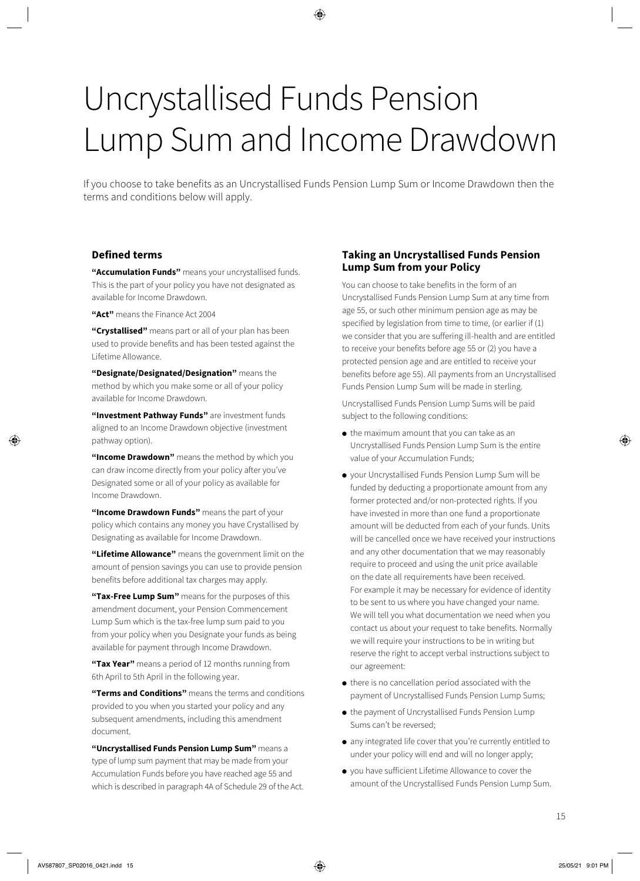# Uncrystallised Funds Pension Lump Sum and Income Drawdown

If you choose to take benefits as an Uncrystallised Funds Pension Lump Sum or Income Drawdown then the terms and conditions below will apply.

### **Defined terms**

**"Accumulation Funds"** means your uncrystallised funds. This is the part of your policy you have not designated as available for Income Drawdown.

**"Act"** means the Finance Act 2004

**"Crystallised"** means part or all of your plan has been used to provide benefits and has been tested against the Lifetime Allowance.

**"Designate/Designated/Designation"** means the method by which you make some or all of your policy available for Income Drawdown.

**"Investment Pathway Funds"** are investment funds aligned to an Income Drawdown objective (investment pathway option).

**"Income Drawdown"** means the method by which you can draw income directly from your policy after you've Designated some or all of your policy as available for Income Drawdown.

**"Income Drawdown Funds"** means the part of your policy which contains any money you have Crystallised by Designating as available for Income Drawdown.

**"Lifetime Allowance"** means the government limit on the amount of pension savings you can use to provide pension benefits before additional tax charges may apply.

**"Tax-Free Lump Sum"** means for the purposes of this amendment document, your Pension Commencement Lump Sum which is the tax-free lump sum paid to you from your policy when you Designate your funds as being available for payment through Income Drawdown.

**"Tax Year"** means a period of 12 months running from 6th April to 5th April in the following year.

**"Terms and Conditions"** means the terms and conditions provided to you when you started your policy and any subsequent amendments, including this amendment document.

**"Uncrystallised Funds Pension Lump Sum"** means a type of lump sum payment that may be made from your Accumulation Funds before you have reached age 55 and which is described in paragraph 4A of Schedule 29 of the Act.

### **Taking an Uncrystallised Funds Pension Lump Sum from your Policy**

You can choose to take benefits in the form of an Uncrystallised Funds Pension Lump Sum at any time from age 55, or such other minimum pension age as may be specified by legislation from time to time, (or earlier if (1) we consider that you are suffering ill-health and are entitled to receive your benefits before age 55 or (2) you have a protected pension age and are entitled to receive your benefits before age 55). All payments from an Uncrystallised Funds Pension Lump Sum will be made in sterling.

Uncrystallised Funds Pension Lump Sums will be paid subject to the following conditions:

- the maximum amount that you can take as an Uncrystallised Funds Pension Lump Sum is the entire value of your Accumulation Funds;
- your Uncrystallised Funds Pension Lump Sum will be funded by deducting a proportionate amount from any former protected and/or non-protected rights. If you have invested in more than one fund a proportionate amount will be deducted from each of your funds. Units will be cancelled once we have received your instructions and any other documentation that we may reasonably require to proceed and using the unit price available on the date all requirements have been received. For example it may be necessary for evidence of identity to be sent to us where you have changed your name. We will tell you what documentation we need when you contact us about your request to take benefits. Normally we will require your instructions to be in writing but reserve the right to accept verbal instructions subject to our agreement:
- there is no cancellation period associated with the payment of Uncrystallised Funds Pension Lump Sums;
- the payment of Uncrystallised Funds Pension Lump Sums can't be reversed;
- any integrated life cover that you're currently entitled to under your policy will end and will no longer apply;
- you have sufficient Lifetime Allowance to cover the amount of the Uncrystallised Funds Pension Lump Sum.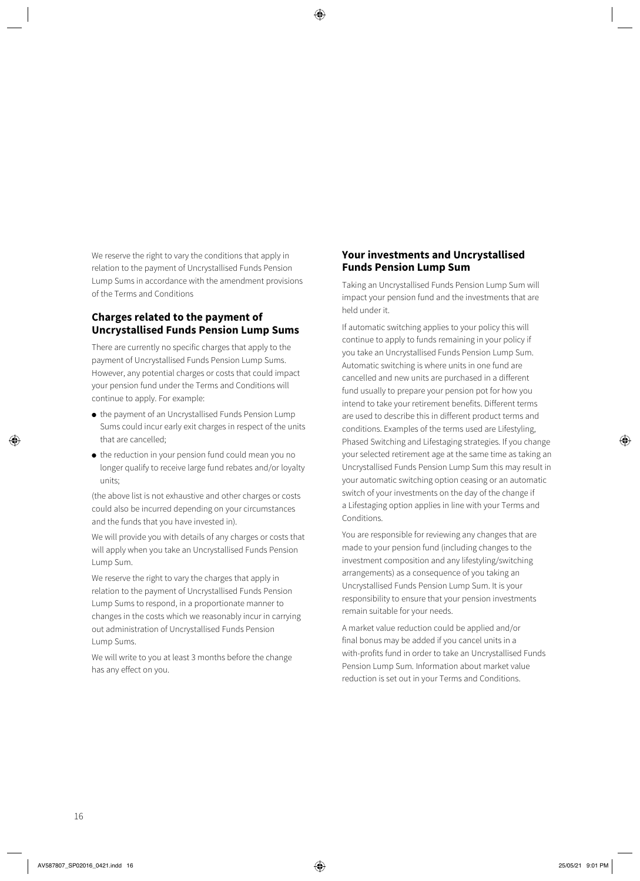We reserve the right to vary the conditions that apply in relation to the payment of Uncrystallised Funds Pension Lump Sums in accordance with the amendment provisions of the Terms and Conditions

## **Charges related to the payment of Uncrystallised Funds Pension Lump Sums**

There are currently no specific charges that apply to the payment of Uncrystallised Funds Pension Lump Sums. However, any potential charges or costs that could impact your pension fund under the Terms and Conditions will continue to apply. For example:

- the payment of an Uncrystallised Funds Pension Lump Sums could incur early exit charges in respect of the units that are cancelled;
- the reduction in your pension fund could mean you no longer qualify to receive large fund rebates and/or loyalty units;

(the above list is not exhaustive and other charges or costs could also be incurred depending on your circumstances and the funds that you have invested in).

We will provide you with details of any charges or costs that will apply when you take an Uncrystallised Funds Pension Lump Sum.

We reserve the right to vary the charges that apply in relation to the payment of Uncrystallised Funds Pension Lump Sums to respond, in a proportionate manner to changes in the costs which we reasonably incur in carrying out administration of Uncrystallised Funds Pension Lump Sums.

We will write to you at least 3 months before the change has any effect on you.

## **Your investments and Uncrystallised Funds Pension Lump Sum**

Taking an Uncrystallised Funds Pension Lump Sum will impact your pension fund and the investments that are held under it.

If automatic switching applies to your policy this will continue to apply to funds remaining in your policy if you take an Uncrystallised Funds Pension Lump Sum. Automatic switching is where units in one fund are cancelled and new units are purchased in a different fund usually to prepare your pension pot for how you intend to take your retirement benefits. Different terms are used to describe this in different product terms and conditions. Examples of the terms used are Lifestyling, Phased Switching and Lifestaging strategies. If you change your selected retirement age at the same time as taking an Uncrystallised Funds Pension Lump Sum this may result in your automatic switching option ceasing or an automatic switch of your investments on the day of the change if a Lifestaging option applies in line with your Terms and **Conditions** 

You are responsible for reviewing any changes that are made to your pension fund (including changes to the investment composition and any lifestyling/switching arrangements) as a consequence of you taking an Uncrystallised Funds Pension Lump Sum. It is your responsibility to ensure that your pension investments remain suitable for your needs.

A market value reduction could be applied and/or final bonus may be added if you cancel units in a with-profits fund in order to take an Uncrystallised Funds Pension Lump Sum. Information about market value reduction is set out in your Terms and Conditions.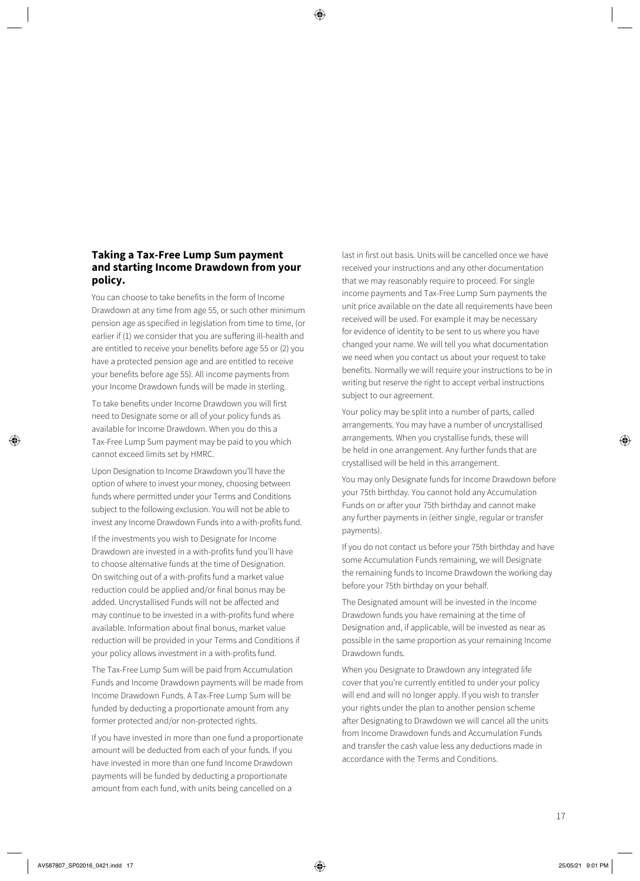## **Taking a Tax-Free Lump Sum payment and starting Income Drawdown from your policy.**

You can choose to take benefits in the form of Income Drawdown at any time from age 55, or such other minimum pension age as specified in legislation from time to time, (or earlier if (1) we consider that you are suffering ill-health and are entitled to receive your benefits before age 55 or (2) you have a protected pension age and are entitled to receive your benefits before age 55). All income payments from your Income Drawdown funds will be made in sterling.

To take benefits under Income Drawdown you will first need to Designate some or all of your policy funds as available for Income Drawdown. When you do this a Tax-Free Lump Sum payment may be paid to you which cannot exceed limits set by HMRC.

Upon Designation to Income Drawdown you'll have the option of where to invest your money, choosing between funds where permitted under your Terms and Conditions subject to the following exclusion. You will not be able to invest any Income Drawdown Funds into a with-profits fund.

If the investments you wish to Designate for Income Drawdown are invested in a with-profits fund you'll have to choose alternative funds at the time of Designation. On switching out of a with-profits fund a market value reduction could be applied and/or final bonus may be added. Uncrystallised Funds will not be affected and may continue to be invested in a with-profits fund where available. Information about final bonus, market value reduction will be provided in your Terms and Conditions if your policy allows investment in a with-profits fund.

The Tax-Free Lump Sum will be paid from Accumulation Funds and Income Drawdown payments will be made from Income Drawdown Funds. A Tax-Free Lump Sum will be funded by deducting a proportionate amount from any former protected and/or non-protected rights.

If you have invested in more than one fund a proportionate amount will be deducted from each of your funds. If you have invested in more than one fund Income Drawdown payments will be funded by deducting a proportionate amount from each fund, with units being cancelled on a

last in first out basis. Units will be cancelled once we have received your instructions and any other documentation that we may reasonably require to proceed. For single income payments and Tax-Free Lump Sum payments the unit price available on the date all requirements have been received will be used. For example it may be necessary for evidence of identity to be sent to us where you have changed your name. We will tell you what documentation we need when you contact us about your request to take benefits. Normally we will require your instructions to be in writing but reserve the right to accept verbal instructions subject to our agreement.

Your policy may be split into a number of parts, called arrangements. You may have a number of uncrystallised arrangements. When you crystallise funds, these will be held in one arrangement. Any further funds that are crystallised will be held in this arrangement.

You may only Designate funds for Income Drawdown before your 75th birthday. You cannot hold any Accumulation Funds on or after your 75th birthday and cannot make any further payments in (either single, regular or transfer payments).

If you do not contact us before your 75th birthday and have some Accumulation Funds remaining, we will Designate the remaining funds to Income Drawdown the working day before your 75th birthday on your behalf.

The Designated amount will be invested in the Income Drawdown funds you have remaining at the time of Designation and, if applicable, will be invested as near as possible in the same proportion as your remaining Income Drawdown funds.

When you Designate to Drawdown any integrated life cover that you're currently entitled to under your policy will end and will no longer apply. If you wish to transfer your rights under the plan to another pension scheme after Designating to Drawdown we will cancel all the units from Income Drawdown funds and Accumulation Funds and transfer the cash value less any deductions made in accordance with the Terms and Conditions.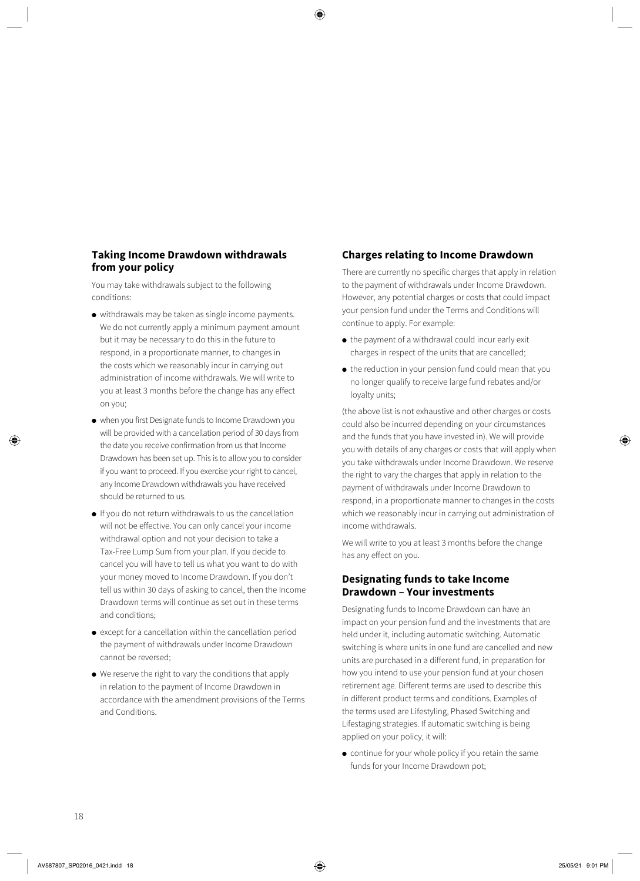# **Taking Income Drawdown withdrawals from your policy**

You may take withdrawals subject to the following conditions:

- withdrawals may be taken as single income payments. We do not currently apply a minimum payment amount but it may be necessary to do this in the future to respond, in a proportionate manner, to changes in the costs which we reasonably incur in carrying out administration of income withdrawals. We will write to you at least 3 months before the change has any effect on you;
- when you first Designate funds to Income Drawdown you will be provided with a cancellation period of 30 days from the date you receive confirmation from us that Income Drawdown has been set up. This is to allow you to consider if you want to proceed. If you exercise your right to cancel, any Income Drawdown withdrawals you have received should be returned to us.
- If you do not return withdrawals to us the cancellation will not be effective. You can only cancel your income withdrawal option and not your decision to take a Tax-Free Lump Sum from your plan. If you decide to cancel you will have to tell us what you want to do with your money moved to Income Drawdown. If you don't tell us within 30 days of asking to cancel, then the Income Drawdown terms will continue as set out in these terms and conditions;
- except for a cancellation within the cancellation period the payment of withdrawals under Income Drawdown cannot be reversed;
- We reserve the right to vary the conditions that apply in relation to the payment of Income Drawdown in accordance with the amendment provisions of the Terms and Conditions.

## **Charges relating to Income Drawdown**

There are currently no specific charges that apply in relation to the payment of withdrawals under Income Drawdown. However, any potential charges or costs that could impact your pension fund under the Terms and Conditions will continue to apply. For example:

- the payment of a withdrawal could incur early exit charges in respect of the units that are cancelled;
- the reduction in your pension fund could mean that you no longer qualify to receive large fund rebates and/or loyalty units;

(the above list is not exhaustive and other charges or costs could also be incurred depending on your circumstances and the funds that you have invested in). We will provide you with details of any charges or costs that will apply when you take withdrawals under Income Drawdown. We reserve the right to vary the charges that apply in relation to the payment of withdrawals under Income Drawdown to respond, in a proportionate manner to changes in the costs which we reasonably incur in carrying out administration of income withdrawals.

We will write to you at least 3 months before the change has any effect on you.

## **Designating funds to take Income Drawdown – Your investments**

Designating funds to Income Drawdown can have an impact on your pension fund and the investments that are held under it, including automatic switching. Automatic switching is where units in one fund are cancelled and new units are purchased in a different fund, in preparation for how you intend to use your pension fund at your chosen retirement age. Different terms are used to describe this in different product terms and conditions. Examples of the terms used are Lifestyling, Phased Switching and Lifestaging strategies. If automatic switching is being applied on your policy, it will:

● continue for your whole policy if you retain the same funds for your Income Drawdown pot;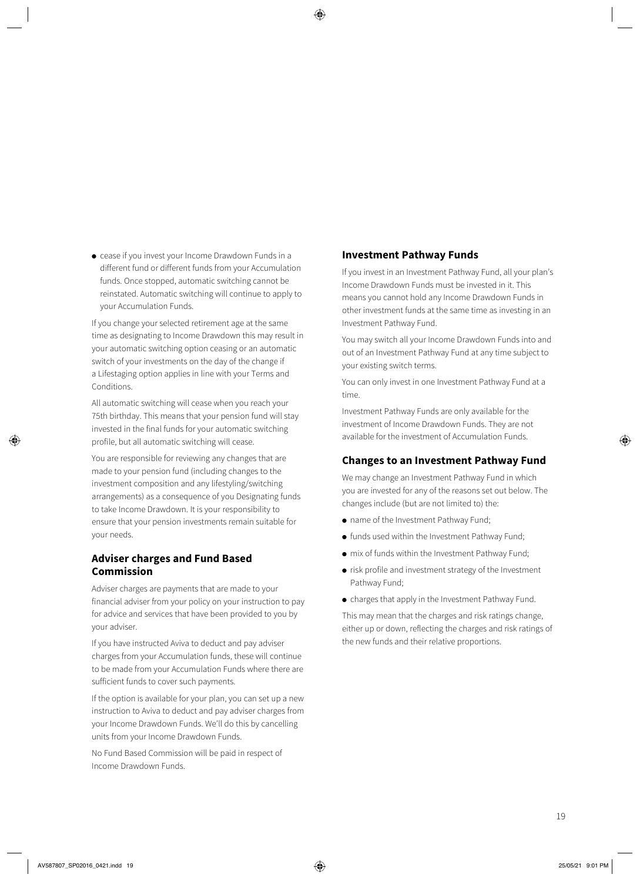● cease if you invest your Income Drawdown Funds in a different fund or different funds from your Accumulation funds. Once stopped, automatic switching cannot be reinstated. Automatic switching will continue to apply to your Accumulation Funds.

If you change your selected retirement age at the same time as designating to Income Drawdown this may result in your automatic switching option ceasing or an automatic switch of your investments on the day of the change if a Lifestaging option applies in line with your Terms and Conditions.

All automatic switching will cease when you reach your 75th birthday. This means that your pension fund will stay invested in the final funds for your automatic switching profile, but all automatic switching will cease.

You are responsible for reviewing any changes that are made to your pension fund (including changes to the investment composition and any lifestyling/switching arrangements) as a consequence of you Designating funds to take Income Drawdown. It is your responsibility to ensure that your pension investments remain suitable for your needs.

# **Adviser charges and Fund Based Commission**

Adviser charges are payments that are made to your financial adviser from your policy on your instruction to pay for advice and services that have been provided to you by your adviser.

If you have instructed Aviva to deduct and pay adviser charges from your Accumulation funds, these will continue to be made from your Accumulation Funds where there are sufficient funds to cover such payments.

If the option is available for your plan, you can set up a new instruction to Aviva to deduct and pay adviser charges from your Income Drawdown Funds. We'll do this by cancelling units from your Income Drawdown Funds.

No Fund Based Commission will be paid in respect of Income Drawdown Funds.

# **Investment Pathway Funds**

If you invest in an Investment Pathway Fund, all your plan's Income Drawdown Funds must be invested in it. This means you cannot hold any Income Drawdown Funds in other investment funds at the same time as investing in an Investment Pathway Fund.

You may switch all your Income Drawdown Funds into and out of an Investment Pathway Fund at any time subject to your existing switch terms.

You can only invest in one Investment Pathway Fund at a time.

Investment Pathway Funds are only available for the investment of Income Drawdown Funds. They are not available for the investment of Accumulation Funds.

### **Changes to an Investment Pathway Fund**

We may change an Investment Pathway Fund in which you are invested for any of the reasons set out below. The changes include (but are not limited to) the:

- name of the Investment Pathway Fund;
- funds used within the Investment Pathway Fund;
- mix of funds within the Investment Pathway Fund;
- risk profile and investment strategy of the Investment Pathway Fund;
- charges that apply in the Investment Pathway Fund.

This may mean that the charges and risk ratings change, either up or down, reflecting the charges and risk ratings of the new funds and their relative proportions.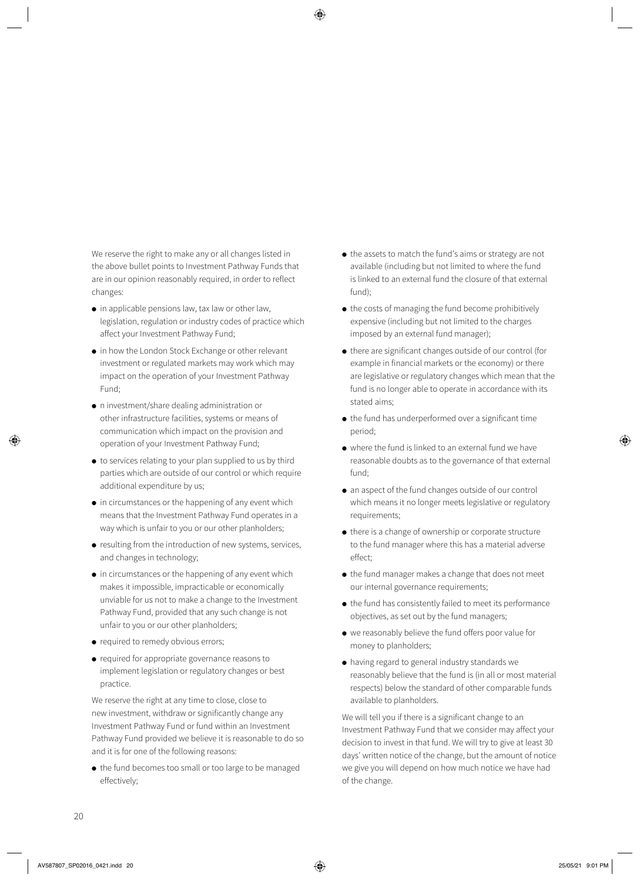We reserve the right to make any or all changes listed in the above bullet points to Investment Pathway Funds that are in our opinion reasonably required, in order to reflect changes:

- $\bullet$  in applicable pensions law, tax law or other law, legislation, regulation or industry codes of practice which affect your Investment Pathway Fund;
- in how the London Stock Exchange or other relevant investment or regulated markets may work which may impact on the operation of your Investment Pathway Fund;
- n investment/share dealing administration or other infrastructure facilities, systems or means of communication which impact on the provision and operation of your Investment Pathway Fund;
- to services relating to your plan supplied to us by third parties which are outside of our control or which require additional expenditure by us;
- in circumstances or the happening of any event which means that the Investment Pathway Fund operates in a way which is unfair to you or our other planholders;
- resulting from the introduction of new systems, services, and changes in technology;
- in circumstances or the happening of any event which makes it impossible, impracticable or economically unviable for us not to make a change to the Investment Pathway Fund, provided that any such change is not unfair to you or our other planholders;
- required to remedy obvious errors:
- required for appropriate governance reasons to implement legislation or regulatory changes or best practice.

We reserve the right at any time to close, close to new investment, withdraw or significantly change any Investment Pathway Fund or fund within an Investment Pathway Fund provided we believe it is reasonable to do so and it is for one of the following reasons:

● the fund becomes too small or too large to be managed effectively;

- the assets to match the fund's aims or strategy are not available (including but not limited to where the fund is linked to an external fund the closure of that external fund);
- $\bullet$  the costs of managing the fund become prohibitively expensive (including but not limited to the charges imposed by an external fund manager);
- there are significant changes outside of our control (for example in financial markets or the economy) or there are legislative or regulatory changes which mean that the fund is no longer able to operate in accordance with its stated aims;
- $\bullet$  the fund has underperformed over a significant time period;
- where the fund is linked to an external fund we have reasonable doubts as to the governance of that external fund;
- an aspect of the fund changes outside of our control which means it no longer meets legislative or regulatory requirements;
- there is a change of ownership or corporate structure to the fund manager where this has a material adverse effect;
- the fund manager makes a change that does not meet our internal governance requirements;
- the fund has consistently failed to meet its performance objectives, as set out by the fund managers;
- we reasonably believe the fund offers poor value for money to planholders;
- having regard to general industry standards we reasonably believe that the fund is (in all or most material respects) below the standard of other comparable funds available to planholders.

We will tell you if there is a significant change to an Investment Pathway Fund that we consider may affect your decision to invest in that fund. We will try to give at least 30 days' written notice of the change, but the amount of notice we give you will depend on how much notice we have had of the change.